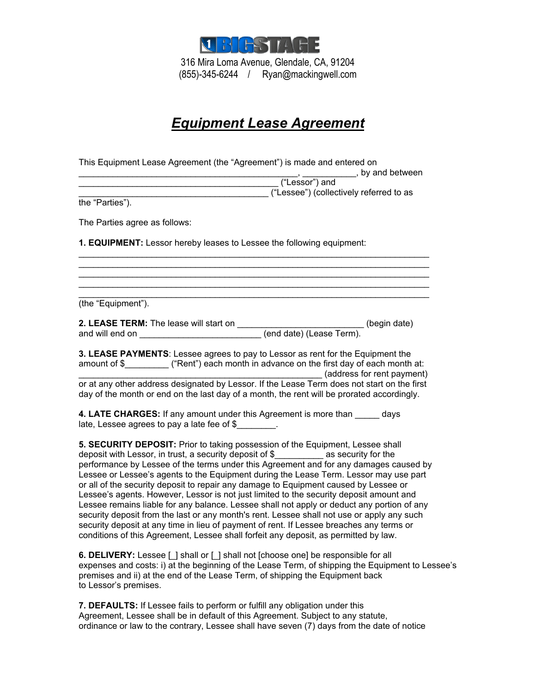

## *Equipment Lease Agreement*

| This Equipment Lease Agreement (the "Agreement") is made and entered on                                                                                                                                                                                                                                                                                                                                                                                                                                                                                                                                                                                                                                                                                                                                                                                                                                                      |  |
|------------------------------------------------------------------------------------------------------------------------------------------------------------------------------------------------------------------------------------------------------------------------------------------------------------------------------------------------------------------------------------------------------------------------------------------------------------------------------------------------------------------------------------------------------------------------------------------------------------------------------------------------------------------------------------------------------------------------------------------------------------------------------------------------------------------------------------------------------------------------------------------------------------------------------|--|
| $\frac{1}{(\text{``Lessor''})}$ and between                                                                                                                                                                                                                                                                                                                                                                                                                                                                                                                                                                                                                                                                                                                                                                                                                                                                                  |  |
| ("Lessee") (collectively referred to as                                                                                                                                                                                                                                                                                                                                                                                                                                                                                                                                                                                                                                                                                                                                                                                                                                                                                      |  |
| the "Parties").                                                                                                                                                                                                                                                                                                                                                                                                                                                                                                                                                                                                                                                                                                                                                                                                                                                                                                              |  |
| The Parties agree as follows:                                                                                                                                                                                                                                                                                                                                                                                                                                                                                                                                                                                                                                                                                                                                                                                                                                                                                                |  |
| 1. EQUIPMENT: Lessor hereby leases to Lessee the following equipment:                                                                                                                                                                                                                                                                                                                                                                                                                                                                                                                                                                                                                                                                                                                                                                                                                                                        |  |
|                                                                                                                                                                                                                                                                                                                                                                                                                                                                                                                                                                                                                                                                                                                                                                                                                                                                                                                              |  |
| (the "Equipment").                                                                                                                                                                                                                                                                                                                                                                                                                                                                                                                                                                                                                                                                                                                                                                                                                                                                                                           |  |
|                                                                                                                                                                                                                                                                                                                                                                                                                                                                                                                                                                                                                                                                                                                                                                                                                                                                                                                              |  |
| 3. LEASE PAYMENTS: Lessee agrees to pay to Lessor as rent for the Equipment the<br>amount of \$__________ ("Rent") each month in advance on the first day of each month at:<br>(address for rent payment)                                                                                                                                                                                                                                                                                                                                                                                                                                                                                                                                                                                                                                                                                                                    |  |
| or at any other address designated by Lessor. If the Lease Term does not start on the first<br>day of the month or end on the last day of a month, the rent will be prorated accordingly.                                                                                                                                                                                                                                                                                                                                                                                                                                                                                                                                                                                                                                                                                                                                    |  |
| 4. LATE CHARGES: If any amount under this Agreement is more than days<br>late, Lessee agrees to pay a late fee of $$$ .                                                                                                                                                                                                                                                                                                                                                                                                                                                                                                                                                                                                                                                                                                                                                                                                      |  |
| 5. SECURITY DEPOSIT: Prior to taking possession of the Equipment, Lessee shall<br>deposit with Lessor, in trust, a security deposit of \$__________ as security for the<br>performance by Lessee of the terms under this Agreement and for any damages caused by<br>Lessee or Lessee's agents to the Equipment during the Lease Term. Lessor may use part<br>or all of the security deposit to repair any damage to Equipment caused by Lessee or<br>Lessee's agents. However, Lessor is not just limited to the security deposit amount and<br>Lessee remains liable for any balance. Lessee shall not apply or deduct any portion of any<br>security deposit from the last or any month's rent. Lessee shall not use or apply any such<br>security deposit at any time in lieu of payment of rent. If Lessee breaches any terms or<br>conditions of this Agreement, Lessee shall forfeit any deposit, as permitted by law. |  |

**6. DELIVERY:** Lessee [ ] shall or [ ] shall not [choose one] be responsible for all expenses and costs: i) at the beginning of the Lease Term, of shipping the Equipment to Lessee's premises and ii) at the end of the Lease Term, of shipping the Equipment back to Lessor's premises.

**7. DEFAULTS:** If Lessee fails to perform or fulfill any obligation under this Agreement, Lessee shall be in default of this Agreement. Subject to any statute, ordinance or law to the contrary, Lessee shall have seven (7) days from the date of notice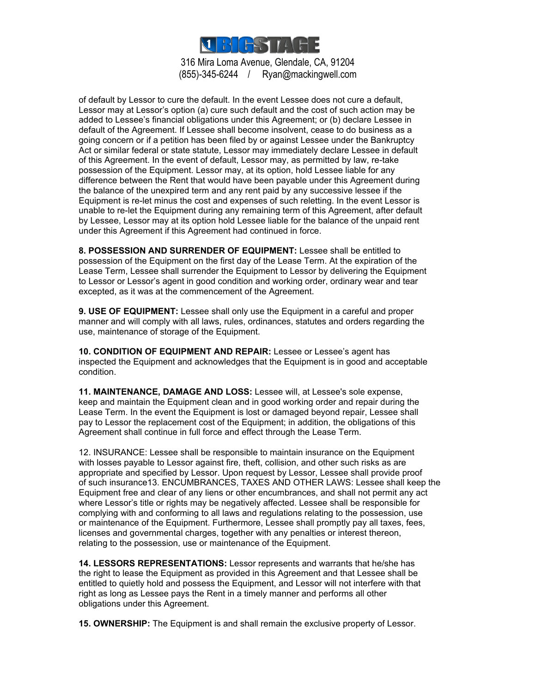

of default by Lessor to cure the default. In the event Lessee does not cure a default, Lessor may at Lessor's option (a) cure such default and the cost of such action may be added to Lessee's financial obligations under this Agreement; or (b) declare Lessee in default of the Agreement. If Lessee shall become insolvent, cease to do business as a going concern or if a petition has been filed by or against Lessee under the Bankruptcy Act or similar federal or state statute, Lessor may immediately declare Lessee in default of this Agreement. In the event of default, Lessor may, as permitted by law, re-take possession of the Equipment. Lessor may, at its option, hold Lessee liable for any difference between the Rent that would have been payable under this Agreement during the balance of the unexpired term and any rent paid by any successive lessee if the Equipment is re-let minus the cost and expenses of such reletting. In the event Lessor is unable to re-let the Equipment during any remaining term of this Agreement, after default by Lessee, Lessor may at its option hold Lessee liable for the balance of the unpaid rent under this Agreement if this Agreement had continued in force.

**8. POSSESSION AND SURRENDER OF EQUIPMENT:** Lessee shall be entitled to possession of the Equipment on the first day of the Lease Term. At the expiration of the Lease Term, Lessee shall surrender the Equipment to Lessor by delivering the Equipment to Lessor or Lessor's agent in good condition and working order, ordinary wear and tear excepted, as it was at the commencement of the Agreement.

**9. USE OF EQUIPMENT:** Lessee shall only use the Equipment in a careful and proper manner and will comply with all laws, rules, ordinances, statutes and orders regarding the use, maintenance of storage of the Equipment.

**10. CONDITION OF EQUIPMENT AND REPAIR:** Lessee or Lessee's agent has inspected the Equipment and acknowledges that the Equipment is in good and acceptable condition.

**11. MAINTENANCE, DAMAGE AND LOSS:** Lessee will, at Lessee's sole expense, keep and maintain the Equipment clean and in good working order and repair during the Lease Term. In the event the Equipment is lost or damaged beyond repair, Lessee shall pay to Lessor the replacement cost of the Equipment; in addition, the obligations of this Agreement shall continue in full force and effect through the Lease Term.

12. INSURANCE: Lessee shall be responsible to maintain insurance on the Equipment with losses payable to Lessor against fire, theft, collision, and other such risks as are appropriate and specified by Lessor. Upon request by Lessor, Lessee shall provide proof of such insurance13. ENCUMBRANCES, TAXES AND OTHER LAWS: Lessee shall keep the Equipment free and clear of any liens or other encumbrances, and shall not permit any act where Lessor's title or rights may be negatively affected. Lessee shall be responsible for complying with and conforming to all laws and regulations relating to the possession, use or maintenance of the Equipment. Furthermore, Lessee shall promptly pay all taxes, fees, licenses and governmental charges, together with any penalties or interest thereon, relating to the possession, use or maintenance of the Equipment.

**14. LESSORS REPRESENTATIONS:** Lessor represents and warrants that he/she has the right to lease the Equipment as provided in this Agreement and that Lessee shall be entitled to quietly hold and possess the Equipment, and Lessor will not interfere with that right as long as Lessee pays the Rent in a timely manner and performs all other obligations under this Agreement.

**15. OWNERSHIP:** The Equipment is and shall remain the exclusive property of Lessor.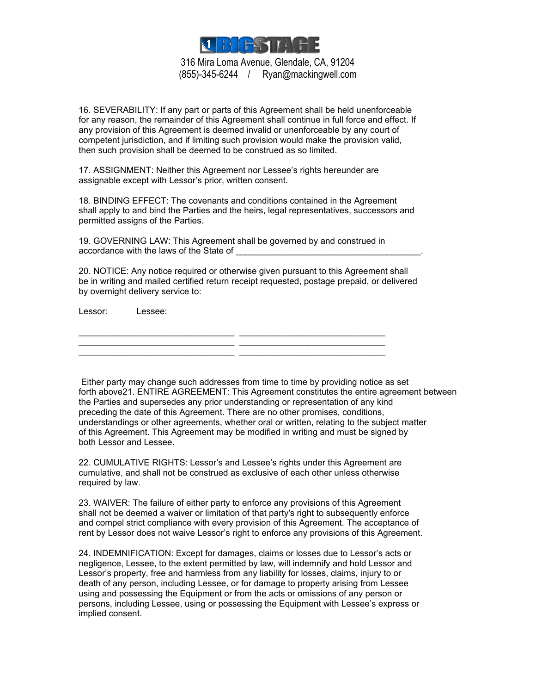

16. SEVERABILITY: If any part or parts of this Agreement shall be held unenforceable for any reason, the remainder of this Agreement shall continue in full force and effect. If any provision of this Agreement is deemed invalid or unenforceable by any court of competent jurisdiction, and if limiting such provision would make the provision valid, then such provision shall be deemed to be construed as so limited.

17. ASSIGNMENT: Neither this Agreement nor Lessee's rights hereunder are assignable except with Lessor's prior, written consent.

18. BINDING EFFECT: The covenants and conditions contained in the Agreement shall apply to and bind the Parties and the heirs, legal representatives, successors and permitted assigns of the Parties.

19. GOVERNING LAW: This Agreement shall be governed by and construed in accordance with the laws of the State of

20. NOTICE: Any notice required or otherwise given pursuant to this Agreement shall be in writing and mailed certified return receipt requested, postage prepaid, or delivered by overnight delivery service to:

Lessor: Lessee:

\_\_\_\_\_\_\_\_\_\_\_\_\_\_\_\_\_\_\_\_\_\_\_\_\_\_\_\_\_\_\_\_ \_\_\_\_\_\_\_\_\_\_\_\_\_\_\_\_\_\_\_\_\_\_\_\_\_\_\_\_\_\_ \_\_\_\_\_\_\_\_\_\_\_\_\_\_\_\_\_\_\_\_\_\_\_\_\_\_\_\_\_\_\_\_ \_\_\_\_\_\_\_\_\_\_\_\_\_\_\_\_\_\_\_\_\_\_\_\_\_\_\_\_\_\_ \_\_\_\_\_\_\_\_\_\_\_\_\_\_\_\_\_\_\_\_\_\_\_\_\_\_\_\_\_\_\_\_ \_\_\_\_\_\_\_\_\_\_\_\_\_\_\_\_\_\_\_\_\_\_\_\_\_\_\_\_\_\_

 Either party may change such addresses from time to time by providing notice as set forth above21. ENTIRE AGREEMENT: This Agreement constitutes the entire agreement between the Parties and supersedes any prior understanding or representation of any kind preceding the date of this Agreement. There are no other promises, conditions, understandings or other agreements, whether oral or written, relating to the subject matter of this Agreement. This Agreement may be modified in writing and must be signed by both Lessor and Lessee.

22. CUMULATIVE RIGHTS: Lessor's and Lessee's rights under this Agreement are cumulative, and shall not be construed as exclusive of each other unless otherwise required by law.

23. WAIVER: The failure of either party to enforce any provisions of this Agreement shall not be deemed a waiver or limitation of that party's right to subsequently enforce and compel strict compliance with every provision of this Agreement. The acceptance of rent by Lessor does not waive Lessor's right to enforce any provisions of this Agreement.

24. INDEMNIFICATION: Except for damages, claims or losses due to Lessor's acts or negligence, Lessee, to the extent permitted by law, will indemnify and hold Lessor and Lessor's property, free and harmless from any liability for losses, claims, injury to or death of any person, including Lessee, or for damage to property arising from Lessee using and possessing the Equipment or from the acts or omissions of any person or persons, including Lessee, using or possessing the Equipment with Lessee's express or implied consent.